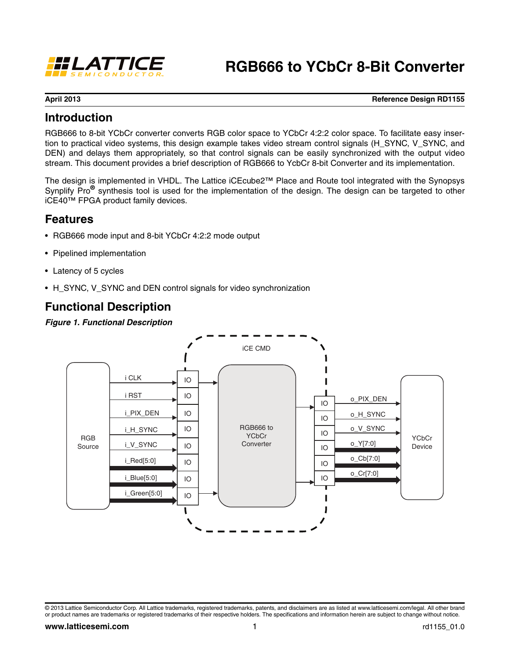

# **RGB666 to YCbCr 8-Bit Converter**

**April 2013 Reference Design RD1155**

### **Introduction**

RGB666 to 8-bit YCbCr converter converts RGB color space to YCbCr 4:2:2 color space. To facilitate easy insertion to practical video systems, this design example takes video stream control signals (H\_SYNC, V\_SYNC, and DEN) and delays them appropriately, so that control signals can be easily synchronized with the output video stream. This document provides a brief description of RGB666 to YcbCr 8-bit Converter and its implementation.

The design is implemented in VHDL. The Lattice iCEcube2™ Place and Route tool integrated with the Synopsys Synplify Pro**®** synthesis tool is used for the implementation of the design. The design can be targeted to other iCE40™ FPGA product family devices.

### **Features**

- RGB666 mode input and 8-bit YCbCr 4:2:2 mode output
- Pipelined implementation
- Latency of 5 cycles
- H\_SYNC, V\_SYNC and DEN control signals for video synchronization

### **Functional Description**

#### *Figure 1. Functional Description*



<sup>© 2013</sup> Lattice Semiconductor Corp. All Lattice trademarks, registered trademarks, patents, and disclaimers are as listed at www.latticesemi.com/legal. All other brand or product names are trademarks or registered trademarks of their respective holders. The specifications and information herein are subject to change without notice.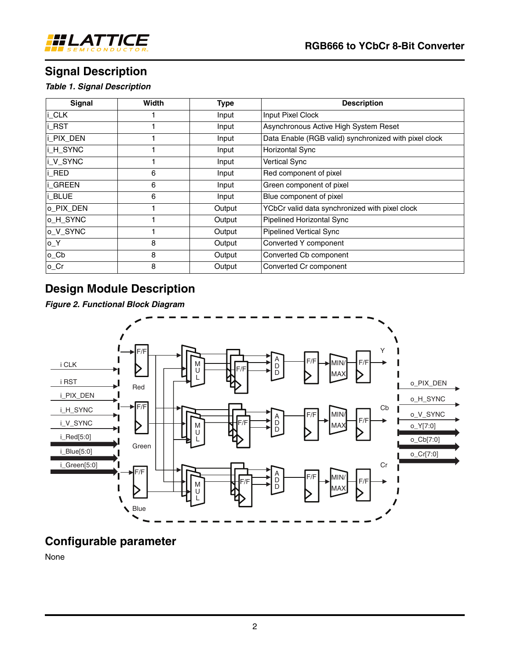

# **Signal Description**

*Table 1. Signal Description*

| <b>Signal</b>     | <b>Width</b> | <b>Type</b> | <b>Description</b>                                    |
|-------------------|--------------|-------------|-------------------------------------------------------|
| i_CLK             |              | Input       | Input Pixel Clock                                     |
| i_RST             |              | Input       | Asynchronous Active High System Reset                 |
| i_PIX_DEN         |              | Input       | Data Enable (RGB valid) synchronized with pixel clock |
| i_H_SYNC          |              | Input       | Horizontal Sync                                       |
| i_V_SYNC          |              | Input       | <b>Vertical Sync</b>                                  |
| i RED             | 6            | Input       | Red component of pixel                                |
| i_GREEN           | 6            | Input       | Green component of pixel                              |
| i_BLUE            | 6            | Input       | Blue component of pixel                               |
| o_PIX_DEN         |              | Output      | YCbCr valid data synchronized with pixel clock        |
| O_H_SYNC          |              | Output      | Pipelined Horizontal Sync                             |
| o_V_SYNC          |              | Output      | <b>Pipelined Vertical Sync</b>                        |
| $O_ Y$            | 8            | Output      | Converted Y component                                 |
| $o$ <sub>Cb</sub> | 8            | Output      | Converted Cb component                                |
| $o_C$ cr          | 8            | Output      | Converted Cr component                                |

## **Design Module Description**

*Figure 2. Functional Block Diagram*



## **Configurable parameter**

None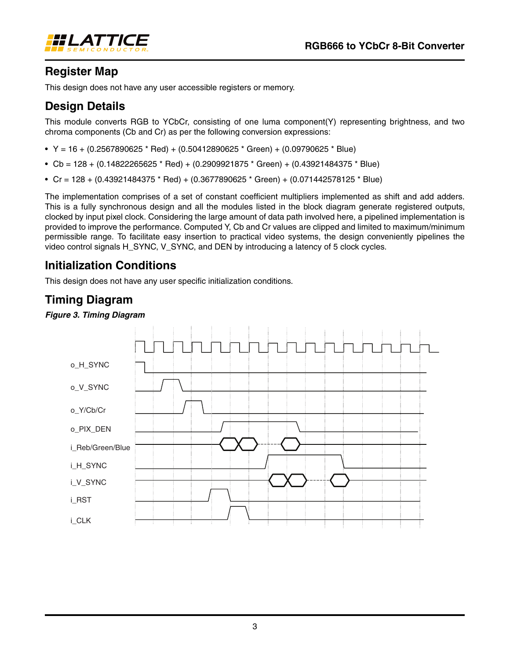

## **Register Map**

This design does not have any user accessible registers or memory.

## **Design Details**

This module converts RGB to YCbCr, consisting of one luma component(Y) representing brightness, and two chroma components (Cb and Cr) as per the following conversion expressions:

- $Y = 16 + (0.2567890625 * Red) + (0.50412890625 * Green) + (0.09790625 * Blue)$
- Cb = 128 + (0.14822265625 \* Red) + (0.2909921875 \* Green) + (0.43921484375 \* Blue)
- Cr = 128 + (0.43921484375 \* Red) + (0.3677890625 \* Green) + (0.071442578125 \* Blue)

The implementation comprises of a set of constant coefficient multipliers implemented as shift and add adders. This is a fully synchronous design and all the modules listed in the block diagram generate registered outputs, clocked by input pixel clock. Considering the large amount of data path involved here, a pipelined implementation is provided to improve the performance. Computed Y, Cb and Cr values are clipped and limited to maximum/minimum permissible range. To facilitate easy insertion to practical video systems, the design conveniently pipelines the video control signals H\_SYNC, V\_SYNC, and DEN by introducing a latency of 5 clock cycles.

## **Initialization Conditions**

This design does not have any user specific initialization conditions.

### **Timing Diagram**

#### *Figure 3. Timing Diagram*

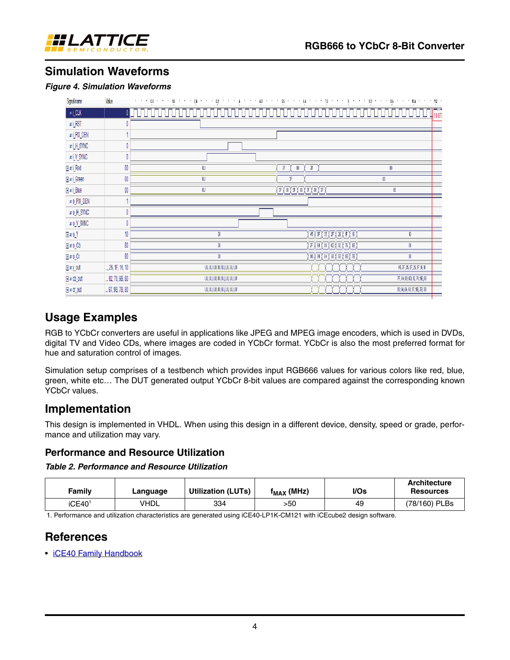

## **Simulation Waveforms**

#### *Figure 4. Simulation Waveforms*

| Signal name                             | Value             | 가 이 시 08 시간이 16 시간이 24 시간이 32 시간이 3 3 시간이 1 48 시간이 1 56 시간이 54 시간이 1 72 시간이 3 시간이 50 시간이 500 시간이 35 시간이 104 시간이 112 시 |                                                                                                      |                                |
|-----------------------------------------|-------------------|-----------------------------------------------------------------------------------------------------------------------|------------------------------------------------------------------------------------------------------|--------------------------------|
| $\pi\text{\small l}\_\text{\small CLK}$ |                   |                                                                                                                       |                                                                                                      | 11 077                         |
| $\text{uri\_RST}$                       | 0                 |                                                                                                                       |                                                                                                      |                                |
| wi_PIX_DEN                              |                   |                                                                                                                       |                                                                                                      |                                |
| wi_H_SYNC                               | 0                 |                                                                                                                       |                                                                                                      |                                |
| mi_V_SYNC                               | 0                 |                                                                                                                       |                                                                                                      |                                |
| <b>Huri_Red</b>                         | $00\,$            | W                                                                                                                     | F<br>F<br>$00\,$                                                                                     | $\emptyset$                    |
| <b>Huri_Green</b>                       | $00\,$            | w                                                                                                                     | 笫                                                                                                    | $00\,$                         |
| <b>Hari_Blue</b>                        | $00\,$            | w                                                                                                                     | <u>{F}T}F}T}F}T}P}</u>                                                                               | $00\,$                         |
| w o_PIX_DEN                             |                   |                                                                                                                       |                                                                                                      |                                |
| MO_H_SYNC                               | 0                 |                                                                                                                       |                                                                                                      |                                |
| Ar O_V_SYNC                             | 0                 |                                                                                                                       |                                                                                                      |                                |
| $H$ ar 0_Y                              | 10                | $00\,$                                                                                                                | (45) (3F) (35) (2F) (26) (1F) (16) (                                                                 | 10                             |
| $\boxplus$ ar o $\_$ Cb                 | 80                | $00\,$                                                                                                                | $\langle$ 7F $\rangle$ 64 $\rangle$ 89 $\rangle$ 6D $\rangle$ 92 $\rangle$ 76 $\rangle$ 9B $\rangle$ | $\sqrt{30}$                    |
| $H$ ar o $C$ r                          | 80                | $00\,$                                                                                                                | (®) (®4 ) (®4 ) (®§) (®) (®§) (®) (                                                                  | $\pmb{ \%}$                    |
| <b>Hary_out</b>                         | , 26, 1F, 16, 10  | 00,00,00,00,00,00,00,00                                                                                               |                                                                                                      | 45, 3F, 35, 2F, 26, 1F, 16, 10 |
| Furcb_out                               | $$ 92, 76, 9B, 80 | UU, UU, UU, UU, UU, UU, UU, UU                                                                                        |                                                                                                      | 7F, 64, 89, 6D, 92, 76, 9B, 80 |
| ⊕ # cr_out                              | 97, 9B, 7B, 80    | 00,00,00,00,00,00,00,00                                                                                               |                                                                                                      | 80, 84, 64, 68, 97, 9B, 7B, 80 |

### **Usage Examples**

RGB to YCbCr converters are useful in applications like JPEG and MPEG image encoders, which is used in DVDs, digital TV and Video CDs, where images are coded in YCbCr format. YCbCr is also the most preferred format for hue and saturation control of images.

Simulation setup comprises of a testbench which provides input RGB666 values for various colors like red, blue, green, white etc… The DUT generated output YCbCr 8-bit values are compared against the corresponding known YCbCr values.

### **Implementation**

This design is implemented in VHDL. When using this design in a different device, density, speed or grade, performance and utilization may vary.

### **Performance and Resource Utilization**

#### *Table 2. Performance and Resource Utilization*

| Family             | Language   | Utilization (LUTs) | $f_{MAX}$ (MHz) | $l/Os$ | <b>Architecture</b><br><b>Resources</b> |
|--------------------|------------|--------------------|-----------------|--------|-----------------------------------------|
| iCE40 <sup>1</sup> | <b>HDL</b> | 334                | >50             | 49     | (78/160) PLBs                           |

1. Performance and utilization characteristics are generated using iCE40-LP1K-CM121 with iCEcube2 design software.

### **References**

• iCE40 Family Handbook